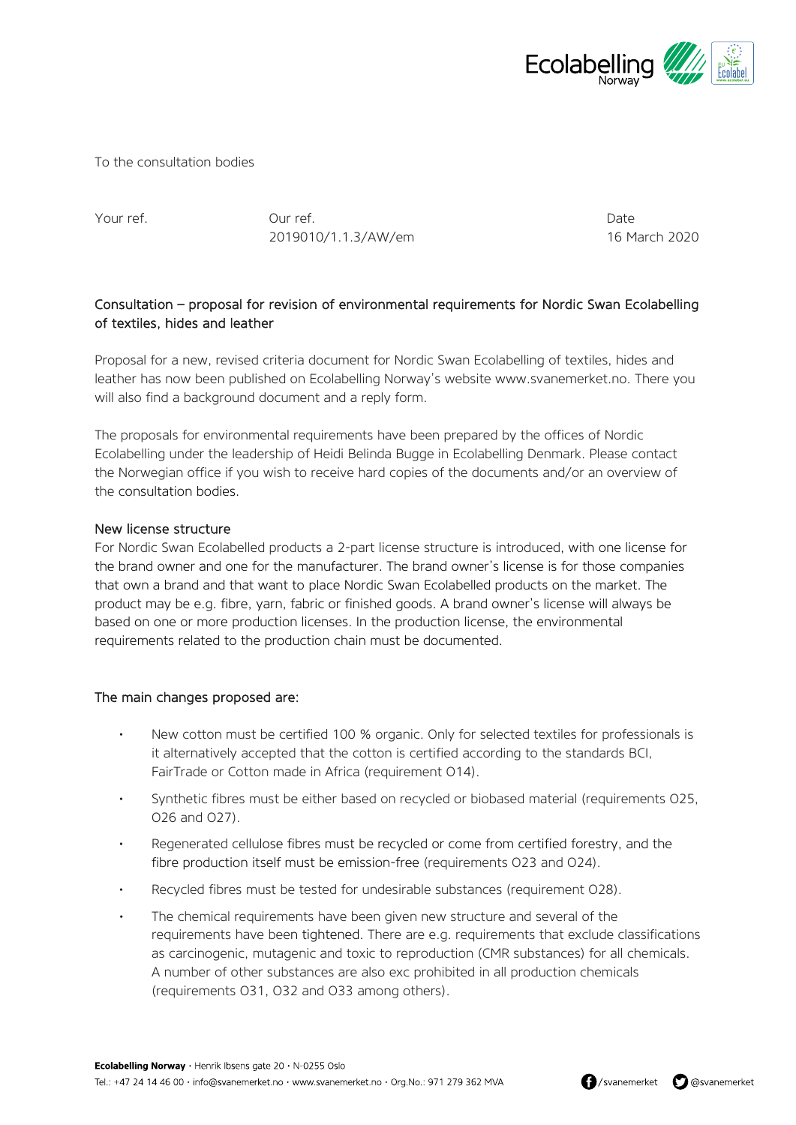

To the consultation bodies

Your ref. Our ref. Date 2019010/1.1.3/AW/em 16 March 2020

## Consultation – proposal for revision of environmental requirements for Nordic Swan Ecolabelling of textiles, hides and leather

Proposal for a new, revised criteria document for Nordic Swan Ecolabelling of textiles, hides and leather has now been published on Ecolabelling Norway's website [www.svanemerket.no.](http://www.svanemerket.no/) There you will also find a background document and a reply form.

The proposals for environmental requirements have been prepared by the offices of Nordic Ecolabelling under the leadership of Heidi Belinda Bugge in Ecolabelling Denmark. Please contact the Norwegian office if you wish to receive hard copies of the documents and/or an overview of the consultation bodies.

## New license structure

For Nordic Swan Ecolabelled products a 2-part license structure is introduced, with one license for the brand owner and one for the manufacturer. The brand owner's license is for those companies that own a brand and that want to place Nordic Swan Ecolabelled products on the market. The product may be e.g. fibre, yarn, fabric or finished goods. A brand owner's license will always be based on one or more production licenses. In the production license, the environmental requirements related to the production chain must be documented.

## The main changes proposed are:

- New cotton must be certified 100 % organic. Only for selected textiles for professionals is it alternatively accepted that the cotton is certified according to the standards BCI, FairTrade or Cotton made in Africa (requirement O14).
- Synthetic fibres must be either based on recycled or biobased material (requirements O25, O26 and O27).
- Regenerated cellulose fibres must be recycled or come from certified forestry, and the fibre production itself must be emission-free (requirements O23 and O24).
- Recycled fibres must be tested for undesirable substances (requirement O28).
- The chemical requirements have been given new structure and several of the requirements have been tightened. There are e.g. requirements that exclude classifications as carcinogenic, mutagenic and toxic to reproduction (CMR substances) for all chemicals. A number of other substances are also exc prohibited in all production chemicals (requirements O31, O32 and O33 among others).